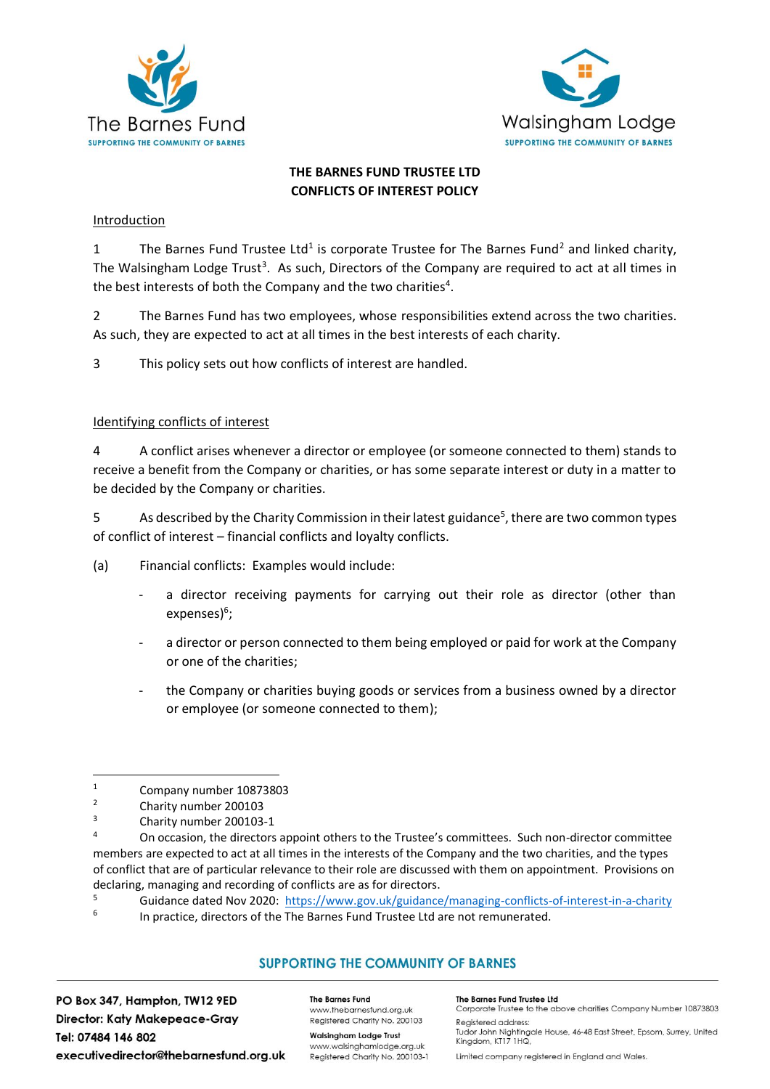



# **THE BARNES FUND TRUSTEE LTD CONFLICTS OF INTEREST POLICY**

## Introduction

1 The Barnes Fund Trustee Ltd<sup>1</sup> is corporate Trustee for The Barnes Fund<sup>2</sup> and linked charity, The Walsingham Lodge Trust<sup>3</sup>. As such, Directors of the Company are required to act at all times in the best interests of both the Company and the two charities<sup>4</sup>.

2 The Barnes Fund has two employees, whose responsibilities extend across the two charities. As such, they are expected to act at all times in the best interests of each charity.

3 This policy sets out how conflicts of interest are handled.

## Identifying conflicts of interest

4 A conflict arises whenever a director or employee (or someone connected to them) stands to receive a benefit from the Company or charities, or has some separate interest or duty in a matter to be decided by the Company or charities.

5 As described by the Charity Commission in their latest guidance<sup>5</sup>, there are two common types of conflict of interest – financial conflicts and loyalty conflicts.

- (a) Financial conflicts: Examples would include:
	- a director receiving payments for carrying out their role as director (other than expenses)<sup>6</sup>;
	- a director or person connected to them being employed or paid for work at the Company or one of the charities;
	- the Company or charities buying goods or services from a business owned by a director or employee (or someone connected to them);

# **SUPPORTING THE COMMUNITY OF BARNES**

PO Box 347, Hampton, TW12 9ED **Director: Katy Makepeace-Gray** Tel: 07484 146 802 executivedirector@thebarnesfund.org.uk **The Barnes Fund** www.thebarnesfund.org.uk Registered Charity No. 200103

**Walsingham Lodge Trust** www.walsinghamlodge.org.uk Registered Charity No. 200103-1 The Barnes Fund Trustee Ltd Corporate Trustee to the above charities Company Number 10873803

**Reaistered address:** Tudor John Nightingale House, 46-48 East Street, Epsom, Surrey, United Kingdom, KT17 1HQ,

Limited company registered in England and Wales.

 $\frac{1}{2}$  Company number 10873803

 $\frac{2}{3}$  Charity number 200103

 $3$  Charity number 200103-1

On occasion, the directors appoint others to the Trustee's committees. Such non-director committee members are expected to act at all times in the interests of the Company and the two charities, and the types of conflict that are of particular relevance to their role are discussed with them on appointment. Provisions on declaring, managing and recording of conflicts are as for directors.<br>
S Cuidence dated Nov 2020, https://www.gay.uk/guidence

<sup>5</sup> Guidance dated Nov 2020:<https://www.gov.uk/guidance/managing-conflicts-of-interest-in-a-charity>

<sup>6</sup> In practice, directors of the The Barnes Fund Trustee Ltd are not remunerated.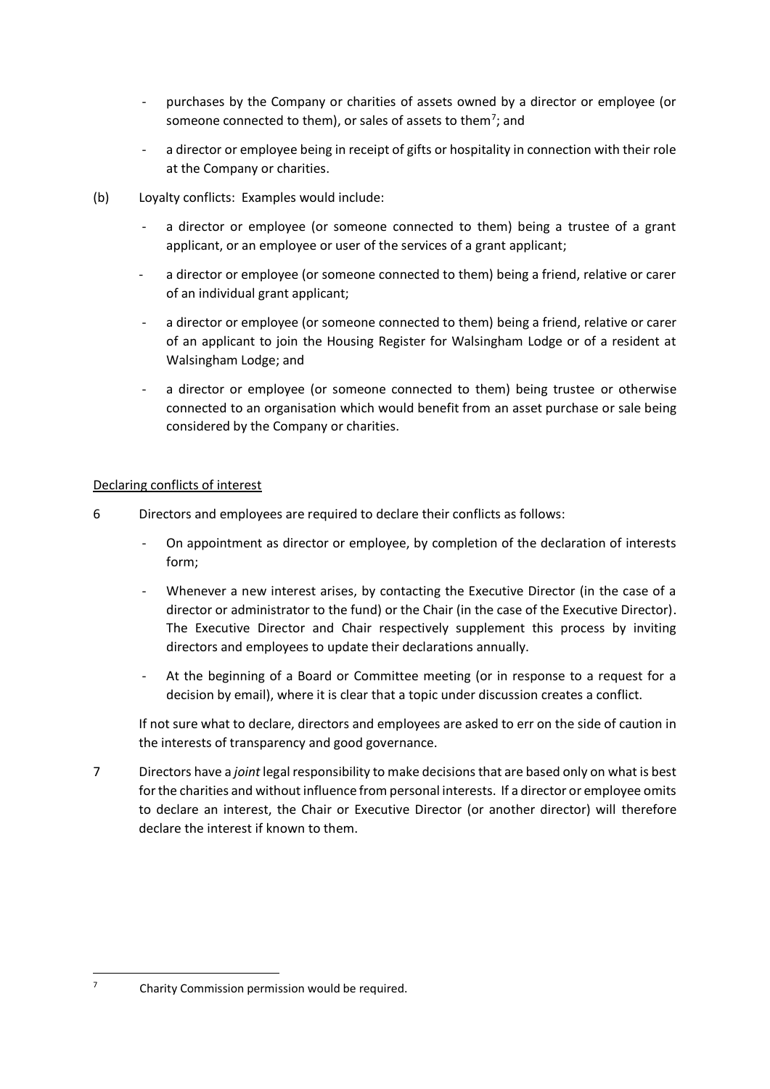- purchases by the Company or charities of assets owned by a director or employee (or someone connected to them), or sales of assets to them<sup>7</sup>; and
- a director or employee being in receipt of gifts or hospitality in connection with their role at the Company or charities.
- (b) Loyalty conflicts: Examples would include:
	- a director or employee (or someone connected to them) being a trustee of a grant applicant, or an employee or user of the services of a grant applicant;
	- a director or employee (or someone connected to them) being a friend, relative or carer of an individual grant applicant;
	- a director or employee (or someone connected to them) being a friend, relative or carer of an applicant to join the Housing Register for Walsingham Lodge or of a resident at Walsingham Lodge; and
	- a director or employee (or someone connected to them) being trustee or otherwise connected to an organisation which would benefit from an asset purchase or sale being considered by the Company or charities.

## Declaring conflicts of interest

- 6 Directors and employees are required to declare their conflicts as follows:
	- On appointment as director or employee, by completion of the declaration of interests form;
	- Whenever a new interest arises, by contacting the Executive Director (in the case of a director or administrator to the fund) or the Chair (in the case of the Executive Director). The Executive Director and Chair respectively supplement this process by inviting directors and employees to update their declarations annually.
	- At the beginning of a Board or Committee meeting (or in response to a request for a decision by email), where it is clear that a topic under discussion creates a conflict.

If not sure what to declare, directors and employees are asked to err on the side of caution in the interests of transparency and good governance.

7 Directors have a *joint* legal responsibility to make decisions that are based only on what is best for the charities and without influence from personal interests. If a director or employee omits to declare an interest, the Chair or Executive Director (or another director) will therefore declare the interest if known to them.

 $7$  Charity Commission permission would be required.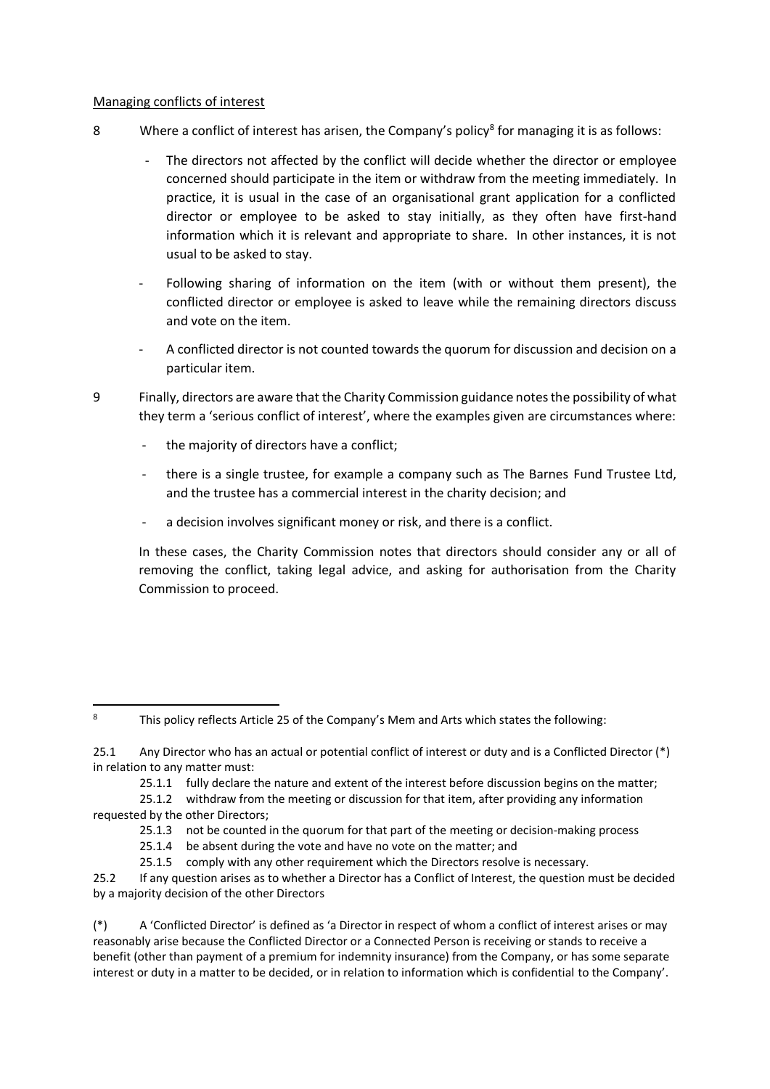### Managing conflicts of interest

- 8 Where a conflict of interest has arisen, the Company's policy<sup>8</sup> for managing it is as follows:
	- The directors not affected by the conflict will decide whether the director or employee concerned should participate in the item or withdraw from the meeting immediately. In practice, it is usual in the case of an organisational grant application for a conflicted director or employee to be asked to stay initially, as they often have first-hand information which it is relevant and appropriate to share. In other instances, it is not usual to be asked to stay.
	- Following sharing of information on the item (with or without them present), the conflicted director or employee is asked to leave while the remaining directors discuss and vote on the item.
	- A conflicted director is not counted towards the quorum for discussion and decision on a particular item.
- 9 Finally, directors are aware that the Charity Commission guidance notes the possibility of what they term a 'serious conflict of interest', where the examples given are circumstances where:
	- the majority of directors have a conflict;
	- there is a single trustee, for example a company such as The Barnes Fund Trustee Ltd, and the trustee has a commercial interest in the charity decision; and
	- a decision involves significant money or risk, and there is a conflict.

In these cases, the Charity Commission notes that directors should consider any or all of removing the conflict, taking legal advice, and asking for authorisation from the Charity Commission to proceed.

25.1.1 fully declare the nature and extent of the interest before discussion begins on the matter;

25.1.2 withdraw from the meeting or discussion for that item, after providing any information requested by the other Directors;

- 25.1.3 not be counted in the quorum for that part of the meeting or decision-making process
- 25.1.4 be absent during the vote and have no vote on the matter; and
- 25.1.5 comply with any other requirement which the Directors resolve is necessary.

25.2 If any question arises as to whether a Director has a Conflict of Interest, the question must be decided by a majority decision of the other Directors

(\*) A 'Conflicted Director' is defined as 'a Director in respect of whom a conflict of interest arises or may reasonably arise because the Conflicted Director or a Connected Person is receiving or stands to receive a benefit (other than payment of a premium for indemnity insurance) from the Company, or has some separate interest or duty in a matter to be decided, or in relation to information which is confidential to the Company'.

<sup>8</sup> This policy reflects Article 25 of the Company's Mem and Arts which states the following:

<sup>25.1</sup> Any Director who has an actual or potential conflict of interest or duty and is a Conflicted Director (\*) in relation to any matter must: